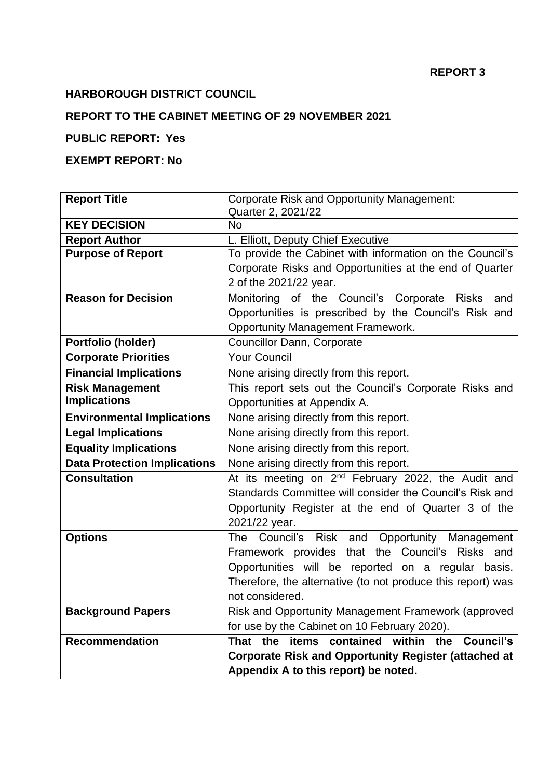#### **REPORT 3**

# **HARBOROUGH DISTRICT COUNCIL**

## **REPORT TO THE CABINET MEETING OF 29 NOVEMBER 2021**

# **PUBLIC REPORT: Yes**

### **EXEMPT REPORT: No**

| <b>Report Title</b>                 | Corporate Risk and Opportunity Management:                              |  |  |
|-------------------------------------|-------------------------------------------------------------------------|--|--|
|                                     | Quarter 2, 2021/22                                                      |  |  |
| <b>KEY DECISION</b>                 | <b>No</b>                                                               |  |  |
| <b>Report Author</b>                | L. Elliott, Deputy Chief Executive                                      |  |  |
| <b>Purpose of Report</b>            | To provide the Cabinet with information on the Council's                |  |  |
|                                     | Corporate Risks and Opportunities at the end of Quarter                 |  |  |
|                                     | 2 of the 2021/22 year.                                                  |  |  |
| <b>Reason for Decision</b>          | Monitoring of the Council's Corporate Risks<br>and                      |  |  |
|                                     | Opportunities is prescribed by the Council's Risk and                   |  |  |
|                                     | <b>Opportunity Management Framework.</b>                                |  |  |
| Portfolio (holder)                  | Councillor Dann, Corporate                                              |  |  |
| <b>Corporate Priorities</b>         | <b>Your Council</b>                                                     |  |  |
| <b>Financial Implications</b>       | None arising directly from this report.                                 |  |  |
| <b>Risk Management</b>              | This report sets out the Council's Corporate Risks and                  |  |  |
| <b>Implications</b>                 | Opportunities at Appendix A.                                            |  |  |
| <b>Environmental Implications</b>   | None arising directly from this report.                                 |  |  |
| <b>Legal Implications</b>           | None arising directly from this report.                                 |  |  |
| <b>Equality Implications</b>        | None arising directly from this report.                                 |  |  |
| <b>Data Protection Implications</b> | None arising directly from this report.                                 |  |  |
| <b>Consultation</b>                 | At its meeting on 2 <sup>nd</sup> February 2022, the Audit and          |  |  |
|                                     | Standards Committee will consider the Council's Risk and                |  |  |
|                                     | Opportunity Register at the end of Quarter 3 of the                     |  |  |
|                                     | 2021/22 year.                                                           |  |  |
| <b>Options</b>                      | Opportunity Management<br><b>The</b><br>Council's<br><b>Risk</b><br>and |  |  |
|                                     | Framework provides that the Council's Risks and                         |  |  |
|                                     | Opportunities will be reported on a regular basis.                      |  |  |
|                                     | Therefore, the alternative (to not produce this report) was             |  |  |
|                                     | not considered.                                                         |  |  |
| <b>Background Papers</b>            | Risk and Opportunity Management Framework (approved                     |  |  |
|                                     | for use by the Cabinet on 10 February 2020).                            |  |  |
| <b>Recommendation</b>               | items contained within the<br><b>Council's</b><br>That the              |  |  |
|                                     | <b>Corporate Risk and Opportunity Register (attached at</b>             |  |  |
|                                     | Appendix A to this report) be noted.                                    |  |  |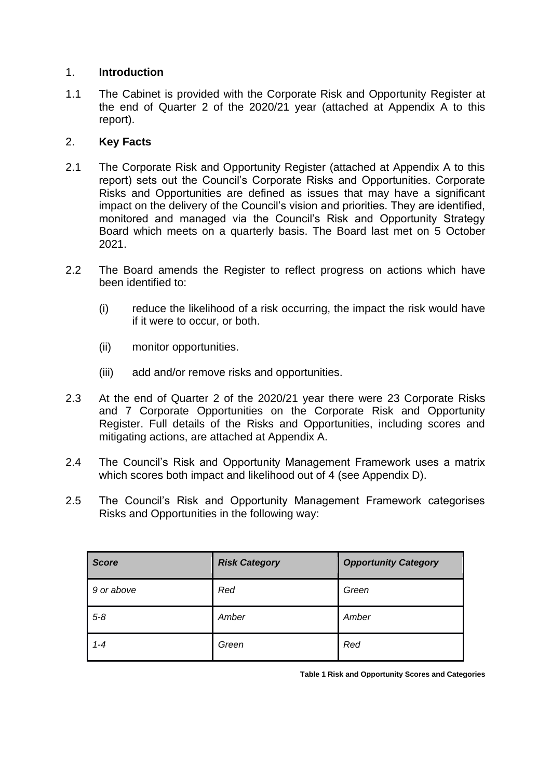#### 1. **Introduction**

1.1 The Cabinet is provided with the Corporate Risk and Opportunity Register at the end of Quarter 2 of the 2020/21 year (attached at Appendix A to this report).

### 2. **Key Facts**

- 2.1 The Corporate Risk and Opportunity Register (attached at Appendix A to this report) sets out the Council's Corporate Risks and Opportunities. Corporate Risks and Opportunities are defined as issues that may have a significant impact on the delivery of the Council's vision and priorities. They are identified, monitored and managed via the Council's Risk and Opportunity Strategy Board which meets on a quarterly basis. The Board last met on 5 October 2021.
- 2.2 The Board amends the Register to reflect progress on actions which have been identified to:
	- (i) reduce the likelihood of a risk occurring, the impact the risk would have if it were to occur, or both.
	- (ii) monitor opportunities.
	- (iii) add and/or remove risks and opportunities.
- 2.3 At the end of Quarter 2 of the 2020/21 year there were 23 Corporate Risks and 7 Corporate Opportunities on the Corporate Risk and Opportunity Register. Full details of the Risks and Opportunities, including scores and mitigating actions, are attached at Appendix A.
- 2.4 The Council's Risk and Opportunity Management Framework uses a matrix which scores both impact and likelihood out of 4 (see Appendix D).
- 2.5 The Council's Risk and Opportunity Management Framework categorises Risks and Opportunities in the following way:

| <b>Score</b> | <b>Risk Category</b> | <b>Opportunity Category</b> |
|--------------|----------------------|-----------------------------|
| 9 or above   | Red                  | Green                       |
| $5 - 8$      | Amber                | Amber                       |
| $1 - 4$      | Green                | Red                         |

**Table 1 Risk and Opportunity Scores and Categories**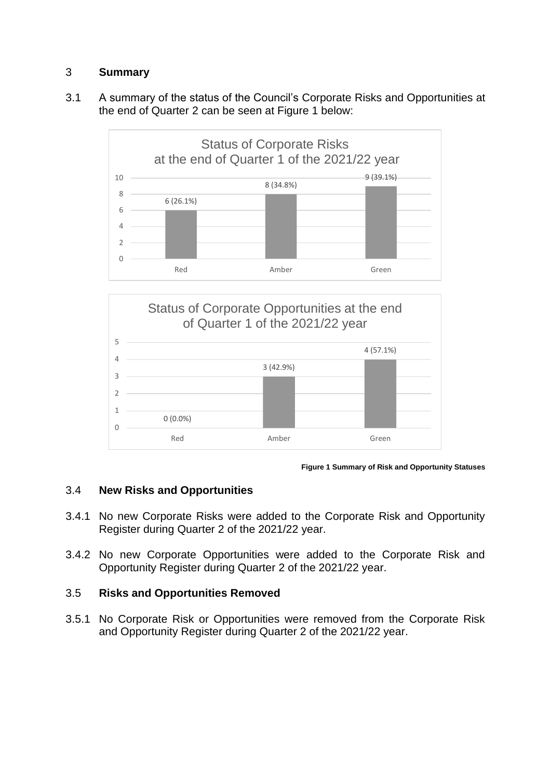### 3 **Summary**

3.1 A summary of the status of the Council's Corporate Risks and Opportunities at the end of Quarter 2 can be seen at Figure 1 below:







## 3.4 **New Risks and Opportunities**

- 3.4.1 No new Corporate Risks were added to the Corporate Risk and Opportunity Register during Quarter 2 of the 2021/22 year.
- 3.4.2 No new Corporate Opportunities were added to the Corporate Risk and Opportunity Register during Quarter 2 of the 2021/22 year.

## 3.5 **Risks and Opportunities Removed**

3.5.1 No Corporate Risk or Opportunities were removed from the Corporate Risk and Opportunity Register during Quarter 2 of the 2021/22 year.